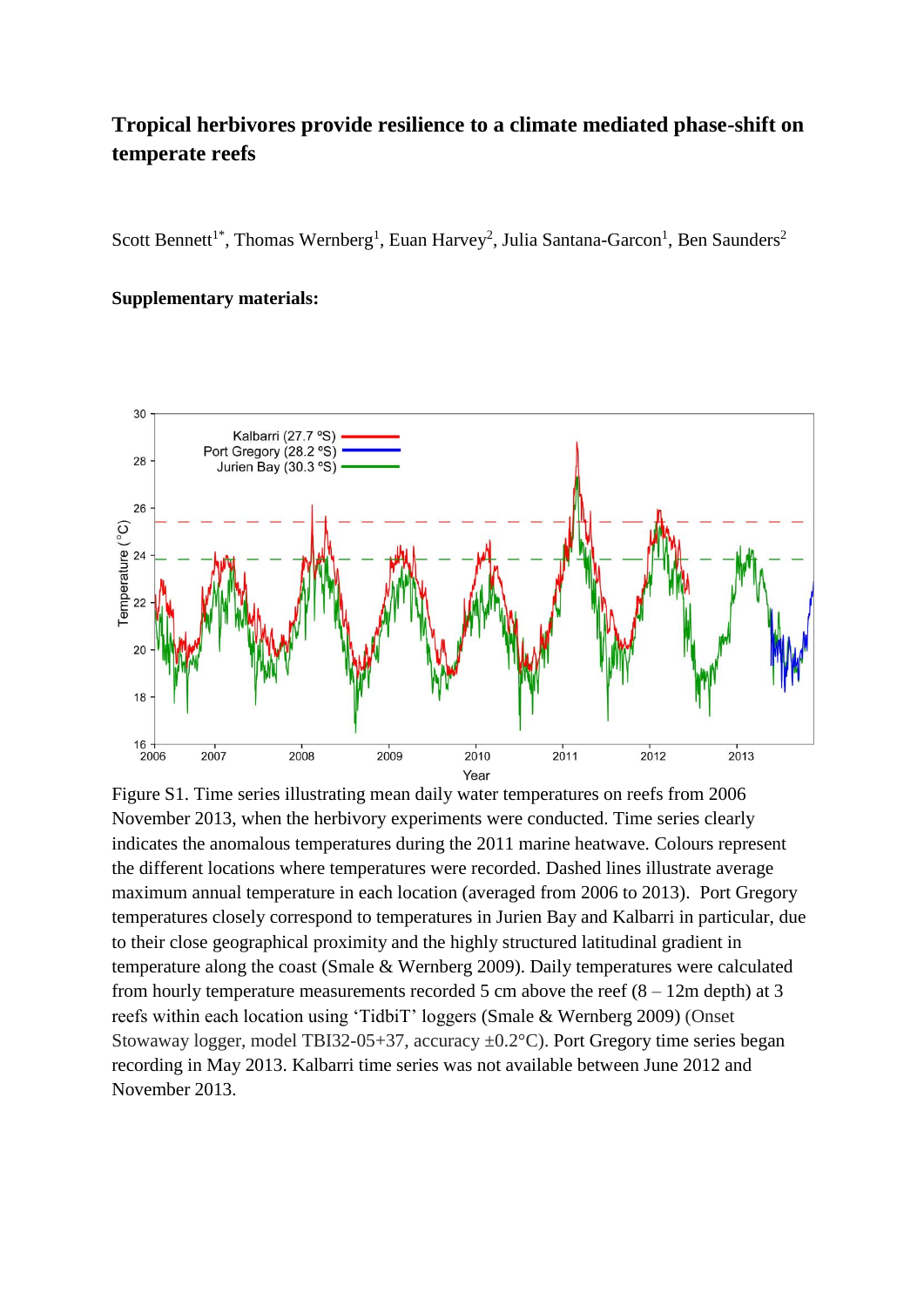## **Tropical herbivores provide resilience to a climate mediated phase-shift on temperate reefs**

Scott Bennett<sup>1\*</sup>, Thomas Wernberg<sup>1</sup>, Euan Harvey<sup>2</sup>, Julia Santana-Garcon<sup>1</sup>, Ben Saunders<sup>2</sup>

## **Supplementary materials:**



Figure S1. Time series illustrating mean daily water temperatures on reefs from 2006 November 2013, when the herbivory experiments were conducted. Time series clearly indicates the anomalous temperatures during the 2011 marine heatwave. Colours represent the different locations where temperatures were recorded. Dashed lines illustrate average maximum annual temperature in each location (averaged from 2006 to 2013). Port Gregory temperatures closely correspond to temperatures in Jurien Bay and Kalbarri in particular, due to their close geographical proximity and the highly structured latitudinal gradient in temperature along the coast [\(Smale & Wernberg 2009\)](#page-5-0). Daily temperatures were calculated from hourly temperature measurements recorded 5 cm above the reef  $(8 - 12m \text{ depth})$  at 3 reefs within each location using 'TidbiT' loggers [\(Smale & Wernberg 2009\)](#page-5-0) (Onset Stowaway logger, model TBI32-05+37, accuracy ±0.2°C). Port Gregory time series began recording in May 2013. Kalbarri time series was not available between June 2012 and November 2013.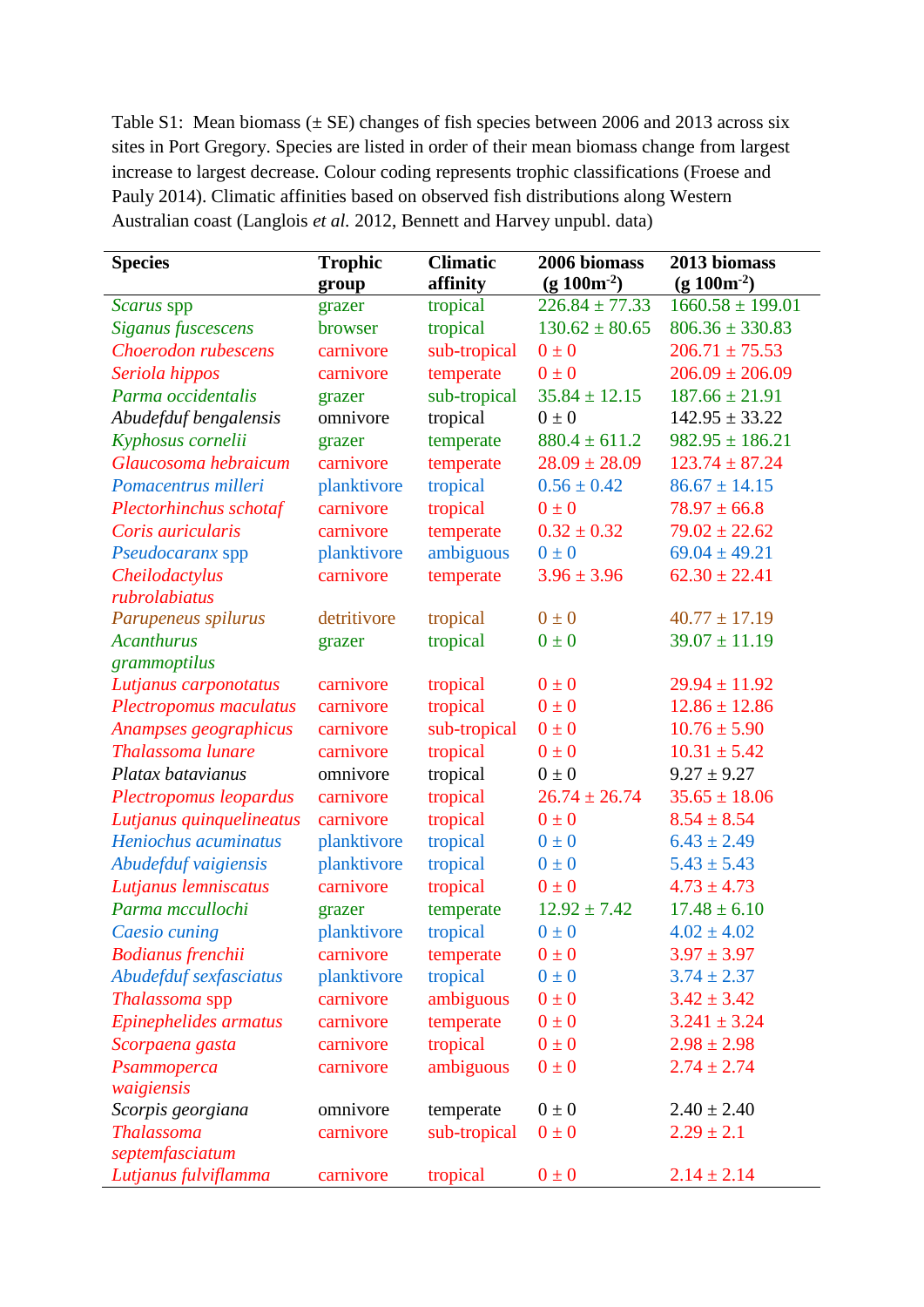Table S1: Mean biomass  $(\pm \text{ SE})$  changes of fish species between 2006 and 2013 across six sites in Port Gregory. Species are listed in order of their mean biomass change from largest increase to largest decrease. Colour coding represents trophic classifications (Froese and Pauly 2014). Climatic affinities based on observed fish distributions along Western Australian coast (Langlois *et al.* [2012, Bennett and Harvey unpubl. data\)](#page-5-1)

| <b>Species</b>           | <b>Trophic</b> | <b>Climatic</b> | 2006 biomass       | 2013 biomass         |
|--------------------------|----------------|-----------------|--------------------|----------------------|
|                          | group          | affinity        | $(g 100m-2)$       | $(g 100m^{-2})$      |
| Scarus spp               | grazer         | tropical        | $226.84 \pm 77.33$ | $1660.58 \pm 199.01$ |
| Siganus fuscescens       | browser        | tropical        | $130.62 \pm 80.65$ | $806.36 \pm 330.83$  |
| Choerodon rubescens      | carnivore      | sub-tropical    | $0\pm 0$           | $206.71 \pm 75.53$   |
| Seriola hippos           | carnivore      | temperate       | $0\pm 0$           | $206.09 \pm 206.09$  |
| Parma occidentalis       | grazer         | sub-tropical    | $35.84 \pm 12.15$  | $187.66 \pm 21.91$   |
| Abudefduf bengalensis    | omnivore       | tropical        | $0 \pm 0$          | $142.95 \pm 33.22$   |
| Kyphosus cornelii        | grazer         | temperate       | $880.4 \pm 611.2$  | $982.95 \pm 186.21$  |
| Glaucosoma hebraicum     | carnivore      | temperate       | $28.09 \pm 28.09$  | $123.74 \pm 87.24$   |
| Pomacentrus milleri      | planktivore    | tropical        | $0.56 \pm 0.42$    | $86.67 \pm 14.15$    |
| Plectorhinchus schotaf   | carnivore      | tropical        | $0 \pm 0$          | $78.97 \pm 66.8$     |
| Coris auricularis        | carnivore      | temperate       | $0.32 \pm 0.32$    | $79.02 \pm 22.62$    |
| Pseudocaranx spp         | planktivore    | ambiguous       | $0\pm 0$           | $69.04 \pm 49.21$    |
| Cheilodactylus           | carnivore      | temperate       | $3.96 \pm 3.96$    | $62.30 \pm 22.41$    |
| rubrolabiatus            |                |                 |                    |                      |
| Parupeneus spilurus      | detritivore    | tropical        | $0\pm 0$           | $40.77 \pm 17.19$    |
| <b>Acanthurus</b>        | grazer         | tropical        | $0\pm 0$           | $39.07 \pm 11.19$    |
| grammoptilus             |                |                 |                    |                      |
| Lutjanus carponotatus    | carnivore      | tropical        | $0\pm 0$           | $29.94 \pm 11.92$    |
| Plectropomus maculatus   | carnivore      | tropical        | $0 \pm 0$          | $12.86 \pm 12.86$    |
| Anampses geographicus    | carnivore      | sub-tropical    | $0\pm 0$           | $10.76 \pm 5.90$     |
| Thalassoma lunare        | carnivore      | tropical        | $0\pm 0$           | $10.31 \pm 5.42$     |
| Platax batavianus        | omnivore       | tropical        | $0 \pm 0$          | $9.27 \pm 9.27$      |
| Plectropomus leopardus   | carnivore      | tropical        | $26.74 \pm 26.74$  | $35.65 \pm 18.06$    |
| Lutjanus quinquelineatus | carnivore      | tropical        | $0\pm0$            | $8.54 \pm 8.54$      |
| Heniochus acuminatus     | planktivore    | tropical        | $0\pm 0$           | $6.43 \pm 2.49$      |
| Abudefduf vaigiensis     | planktivore    | tropical        | $0\pm 0$           | $5.43 \pm 5.43$      |
| Lutjanus lemniscatus     | carnivore      | tropical        | $0\pm 0$           | $4.73 \pm 4.73$      |
| Parma mccullochi         | grazer         | temperate       | $12.92 \pm 7.42$   | $17.48 \pm 6.10$     |
| Caesio cuning            | planktivore    | tropical        | $0\pm 0$           | $4.02 \pm 4.02$      |
| <b>Bodianus frenchii</b> | carnivore      | temperate       | $0\pm 0$           | $3.97 \pm 3.97$      |
| Abudefduf sexfasciatus   | planktivore    | tropical        | $0\pm 0$           | $3.74 \pm 2.37$      |
| Thalassoma spp           | carnivore      | ambiguous       | $0 \pm 0$          | $3.42 \pm 3.42$      |
| Epinephelides armatus    | carnivore      | temperate       | $0 \pm 0$          | $3.241 \pm 3.24$     |
| Scorpaena gasta          | carnivore      | tropical        | $0\pm 0$           | $2.98 \pm 2.98$      |
| Psammoperca              | carnivore      | ambiguous       | $0\pm 0$           | $2.74 \pm 2.74$      |
| waigiensis               |                |                 |                    |                      |
| Scorpis georgiana        | omnivore       | temperate       | $0\pm 0$           | $2.40 \pm 2.40$      |
| <b>Thalassoma</b>        | carnivore      | sub-tropical    | $0 \pm 0$          | $2.29 \pm 2.1$       |
| septemfasciatum          |                |                 |                    |                      |
| Lutjanus fulviflamma     | carnivore      | tropical        | $0 \pm 0$          | $2.14 \pm 2.14$      |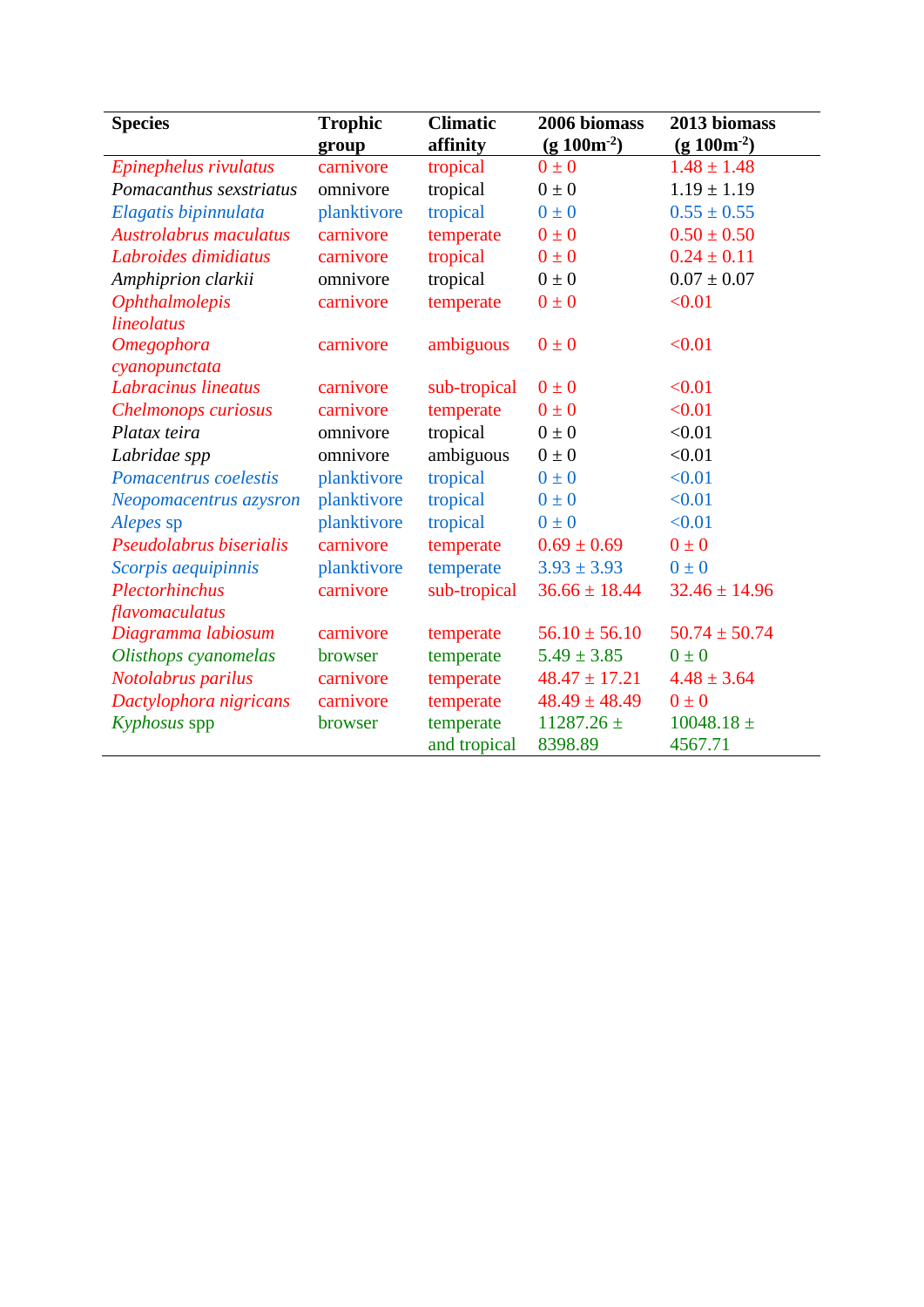| <b>Species</b>                     | <b>Trophic</b><br>group | <b>Climatic</b><br>affinity | 2006 biomass<br>$(g 100m-2)$ | 2013 biomass<br>$(g 100m^{-2})$ |
|------------------------------------|-------------------------|-----------------------------|------------------------------|---------------------------------|
| Epinephelus rivulatus              | carnivore               | tropical                    | $0\pm 0$                     | $1.48 \pm 1.48$                 |
| Pomacanthus sexstriatus            | omnivore                | tropical                    | $0\pm 0$                     | $1.19 \pm 1.19$                 |
| Elagatis bipinnulata               | planktivore             | tropical                    | $0\pm 0$                     | $0.55 \pm 0.55$                 |
| Austrolabrus maculatus             | carnivore               | temperate                   | $0\pm 0$                     | $0.50 \pm 0.50$                 |
| Labroides dimidiatus               | carnivore               | tropical                    | $0\pm 0$                     | $0.24 \pm 0.11$                 |
| Amphiprion clarkii                 | omnivore                | tropical                    | $0\pm 0$                     | $0.07 \pm 0.07$                 |
| <b>Ophthalmolepis</b>              | carnivore               | temperate                   | $0\pm 0$                     | < 0.01                          |
| lineolatus                         |                         |                             |                              |                                 |
| <b>Omegophora</b><br>cyanopunctata | carnivore               | ambiguous                   | $0\pm 0$                     | < 0.01                          |
| Labracinus lineatus                | carnivore               | sub-tropical                | $0\pm 0$                     | < 0.01                          |
| Chelmonops curiosus                | carnivore               | temperate                   | $0\pm 0$                     | < 0.01                          |
| Platax teira                       | omnivore                | tropical                    | $0\pm 0$                     | < 0.01                          |
| Labridae spp                       | omnivore                | ambiguous                   | $0\pm 0$                     | < 0.01                          |
| Pomacentrus coelestis              | planktivore             | tropical                    | $0\pm 0$                     | < 0.01                          |
| Neopomacentrus azysron             | planktivore             | tropical                    | $0\pm 0$                     | < 0.01                          |
| Alepes sp                          | planktivore             | tropical                    | $0\pm 0$                     | < 0.01                          |
| Pseudolabrus biserialis            | carnivore               | temperate                   | $0.69 \pm 0.69$              | $0\pm 0$                        |
| Scorpis aequipinnis                | planktivore             | temperate                   | $3.93 \pm 3.93$              | $0\pm 0$                        |
| Plectorhinchus                     | carnivore               | sub-tropical                | $36.66 \pm 18.44$            | $32.46 \pm 14.96$               |
| flavomaculatus                     |                         |                             |                              |                                 |
| Diagramma labiosum                 | carnivore               | temperate                   | $56.10 \pm 56.10$            | $50.74 \pm 50.74$               |
| Olisthops cyanomelas               | browser                 | temperate                   | $5.49 \pm 3.85$              | $0\pm 0$                        |
| Notolabrus parilus                 | carnivore               | temperate                   | $48.47 \pm 17.21$            | $4.48 \pm 3.64$                 |
| Dactylophora nigricans             | carnivore               | temperate                   | $48.49 \pm 48.49$            | $0 \pm 0$                       |
| Kyphosus spp                       | browser                 | temperate<br>and tropical   | $11287.26 \pm$<br>8398.89    | $10048.18 \pm$<br>4567.71       |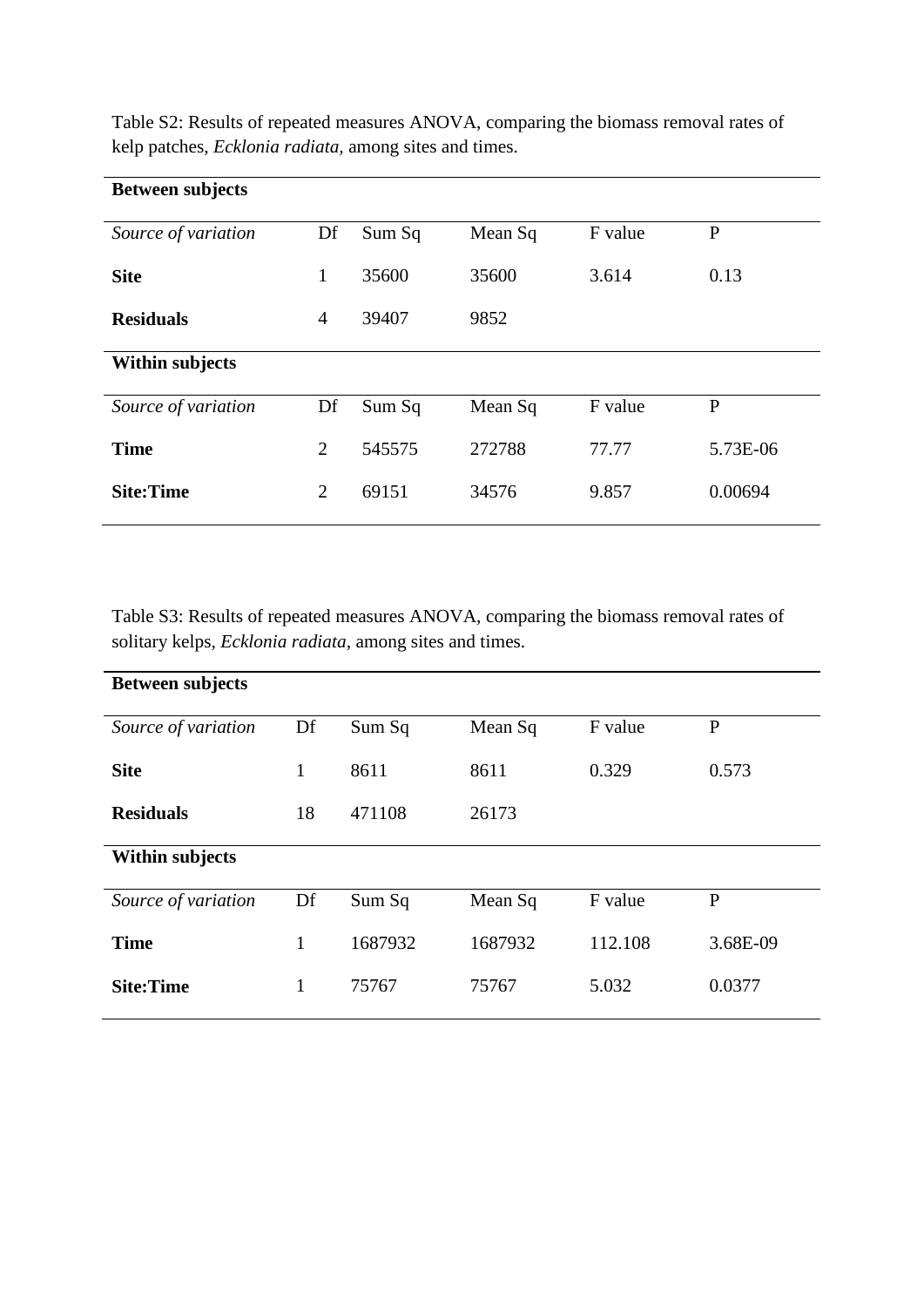| <b>Between subjects</b> |                |        |         |         |              |
|-------------------------|----------------|--------|---------|---------|--------------|
| Source of variation     | Df             | Sum Sq | Mean Sq | F value | $\mathbf{P}$ |
| <b>Site</b>             | 1              | 35600  | 35600   | 3.614   | 0.13         |
| <b>Residuals</b>        | 4              | 39407  | 9852    |         |              |
| <b>Within subjects</b>  |                |        |         |         |              |
| Source of variation     | Df             | Sum Sq | Mean Sq | F value | P            |
| <b>Time</b>             | $\overline{2}$ | 545575 | 272788  | 77.77   | 5.73E-06     |
| <b>Site:Time</b>        | $\overline{2}$ | 69151  | 34576   | 9.857   | 0.00694      |

Table S2: Results of repeated measures ANOVA, comparing the biomass removal rates of kelp patches, *Ecklonia radiata,* among sites and times.

Table S3: Results of repeated measures ANOVA, comparing the biomass removal rates of solitary kelps, *Ecklonia radiata,* among sites and times.

| <b>Between subjects</b> |              |         |         |         |              |
|-------------------------|--------------|---------|---------|---------|--------------|
| Source of variation     | Df           | Sum Sq  | Mean Sq | F value | $\mathbf P$  |
| <b>Site</b>             | $\mathbf{1}$ | 8611    | 8611    | 0.329   | 0.573        |
| <b>Residuals</b>        | 18           | 471108  | 26173   |         |              |
| <b>Within subjects</b>  |              |         |         |         |              |
| Source of variation     | Df           | Sum Sq  | Mean Sq | F value | $\mathbf{P}$ |
| <b>Time</b>             | $\mathbf{1}$ | 1687932 | 1687932 | 112.108 | 3.68E-09     |
| <b>Site:Time</b>        | 1            | 75767   | 75767   | 5.032   | 0.0377       |
|                         |              |         |         |         |              |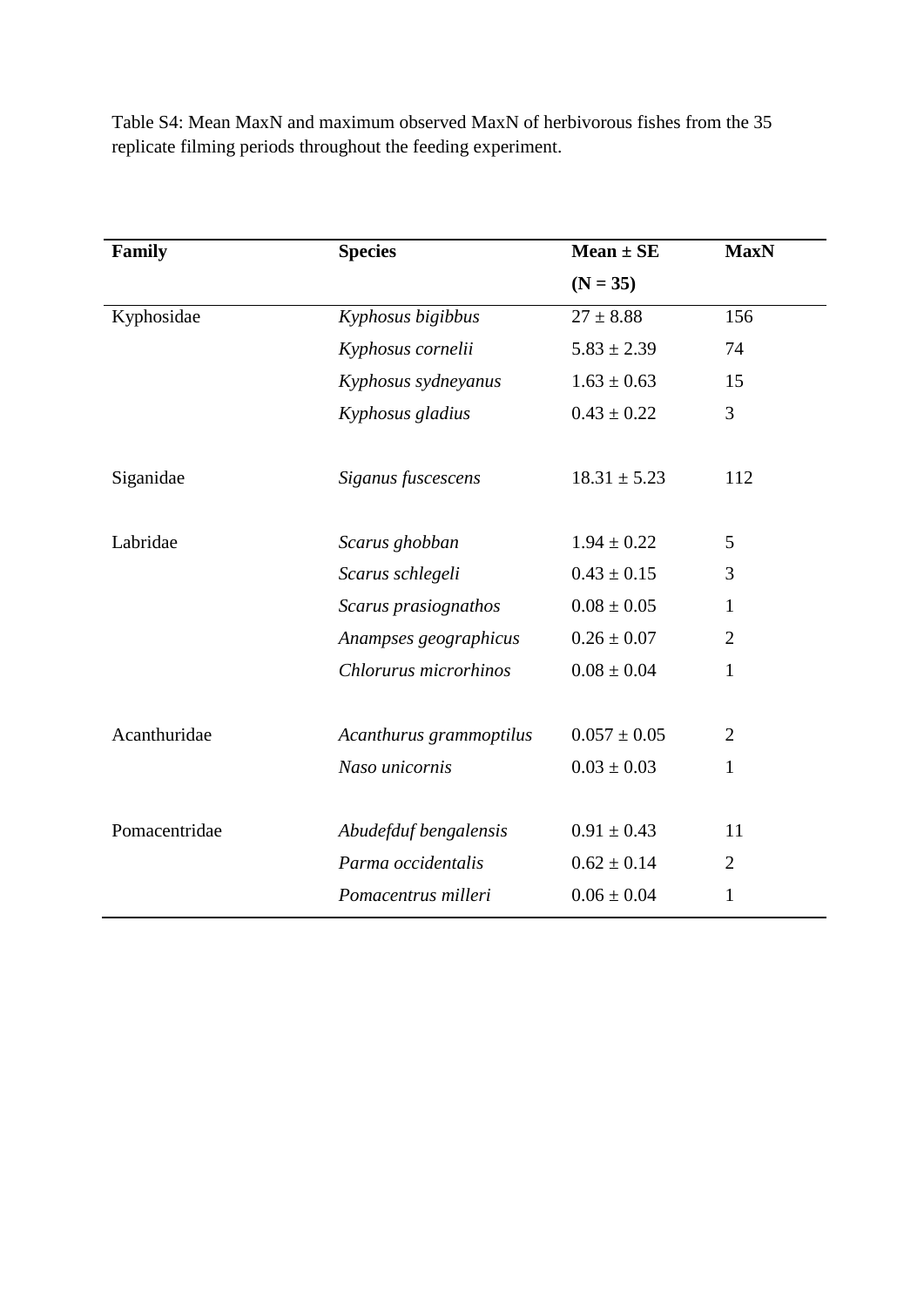| Family        | <b>Species</b>          | $Mean \pm SE$    | <b>MaxN</b>    |
|---------------|-------------------------|------------------|----------------|
|               |                         | $(N = 35)$       |                |
| Kyphosidae    | Kyphosus bigibbus       | $27 \pm 8.88$    | 156            |
|               | Kyphosus cornelii       | $5.83 \pm 2.39$  | 74             |
|               | Kyphosus sydneyanus     | $1.63 \pm 0.63$  | 15             |
|               | Kyphosus gladius        | $0.43 \pm 0.22$  | 3              |
| Siganidae     | Siganus fuscescens      | $18.31 \pm 5.23$ | 112            |
| Labridae      | Scarus ghobban          | $1.94 \pm 0.22$  | 5              |
|               | Scarus schlegeli        | $0.43 \pm 0.15$  | 3              |
|               | Scarus prasiognathos    | $0.08 \pm 0.05$  | 1              |
|               | Anampses geographicus   | $0.26 \pm 0.07$  | $\overline{2}$ |
|               | Chlorurus microrhinos   | $0.08 \pm 0.04$  | $\mathbf{1}$   |
| Acanthuridae  | Acanthurus grammoptilus | $0.057 \pm 0.05$ | $\overline{2}$ |
|               | Naso unicornis          | $0.03 \pm 0.03$  | $\mathbf{1}$   |
| Pomacentridae | Abudefduf bengalensis   | $0.91 \pm 0.43$  | 11             |
|               | Parma occidentalis      | $0.62 \pm 0.14$  | 2              |
|               | Pomacentrus milleri     | $0.06 \pm 0.04$  | 1              |
|               |                         |                  |                |

Table S4: Mean MaxN and maximum observed MaxN of herbivorous fishes from the 35 replicate filming periods throughout the feeding experiment.